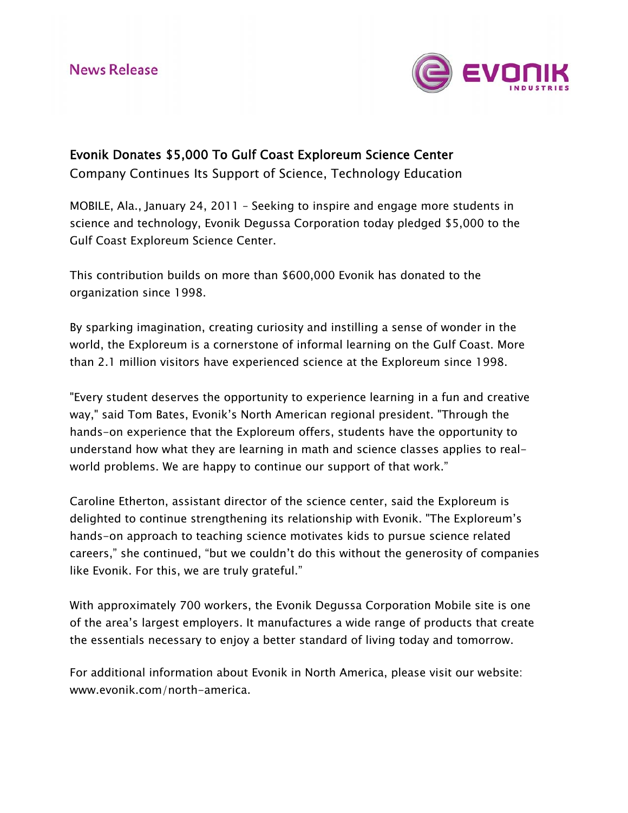

# Evonik Donates \$5,000 To Gulf Coast Exploreum Science Center

Company Continues Its Support of Science, Technology Education

MOBILE, Ala., January 24, 2011 – Seeking to inspire and engage more students in science and technology, Evonik Degussa Corporation today pledged \$5,000 to the Gulf Coast Exploreum Science Center.

This contribution builds on more than \$600,000 Evonik has donated to the organization since 1998.

By sparking imagination, creating curiosity and instilling a sense of wonder in the world, the Exploreum is a cornerstone of informal learning on the Gulf Coast. More than 2.1 million visitors have experienced science at the Exploreum since 1998.

"Every student deserves the opportunity to experience learning in a fun and creative way," said Tom Bates, Evonik's North American regional president. "Through the hands-on experience that the Exploreum offers, students have the opportunity to understand how what they are learning in math and science classes applies to realworld problems. We are happy to continue our support of that work."

Caroline Etherton, assistant director of the science center, said the Exploreum is delighted to continue strengthening its relationship with Evonik. "The Exploreum's hands-on approach to teaching science motivates kids to pursue science related careers," she continued, "but we couldn't do this without the generosity of companies like Evonik. For this, we are truly grateful."

With approximately 700 workers, the Evonik Degussa Corporation Mobile site is one of the area's largest employers. It manufactures a wide range of products that create the essentials necessary to enjoy a better standard of living today and tomorrow.

For additional information about Evonik in North America, please visit our website: [www.evonik.com/north-america](http://www.evonik.com/north-america).